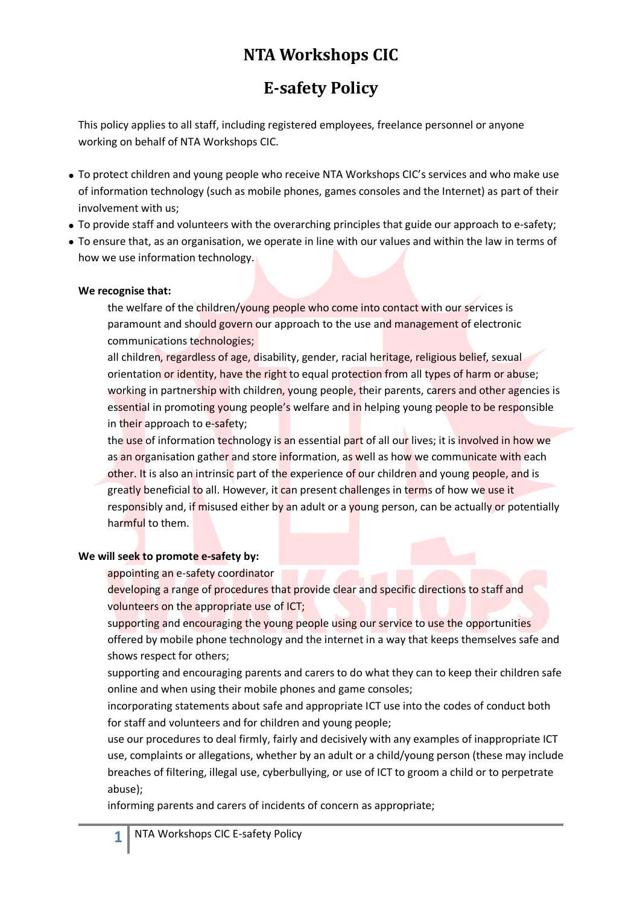## **NTA Workshops CIC**

## **E-safety Policy**

This policy applies to all staff, including registered employees, freelance personnel or anyone working on behalf of NTA Workshops CIC.

- To protect children and young people who receive NTA Workshops CIC's services and who make use of information technology (such as mobile phones, games consoles and the Internet) as part of their involvement with us;
- To provide staff and volunteers with the overarching principles that guide our approach to e-safety;
- To ensure that, as an organisation, we operate in line with our values and within the law in terms of how we use information technology.

## **We recognise that:**

the welfare of the children/young people who come into contact with our services is paramount and should govern our approach to the use and management of electronic communications technologies;

all children, regardless of age, disability, gender, racial heritage, religious belief, sexual orientation or identity, have the right to equal protection from all types of harm or abuse; working in partnership with children, young people, their parents, carers and other agencies is essential in promoting young people's welfare and in helping young people to be responsible in their approach to e-safety;

the use of information technology is an essential part of all our lives; it is involved in how we as an organisation gather and store information, as well as how we communicate with each other. It is also an intrinsic part of the experience of our children and young people, and is greatly beneficial to all. However, it can present challenges in terms of how we use it responsibly and, if misused either by an adult or a young person, can be actually or potentially harmful to them.

## **We will seek to promote e-safety by:**

appointing an e-safety coordinator

developing a range of procedures that provide clear and specific directions to staff and volunteers on the appropriate use of ICT;

supporting and encouraging the young people using our service to use the opportunities offered by mobile phone technology and the internet in a way that keeps themselves safe and shows respect for others;

supporting and encouraging parents and carers to do what they can to keep their children safe online and when using their mobile phones and game consoles;

incorporating statements about safe and appropriate ICT use into the codes of conduct both for staff and volunteers and for children and young people;

use our procedures to deal firmly, fairly and decisively with any examples of inappropriate ICT use, complaints or allegations, whether by an adult or a child/young person (these may include breaches of filtering, illegal use, cyberbullying, or use of ICT to groom a child or to perpetrate abuse);

informing parents and carers of incidents of concern as appropriate;